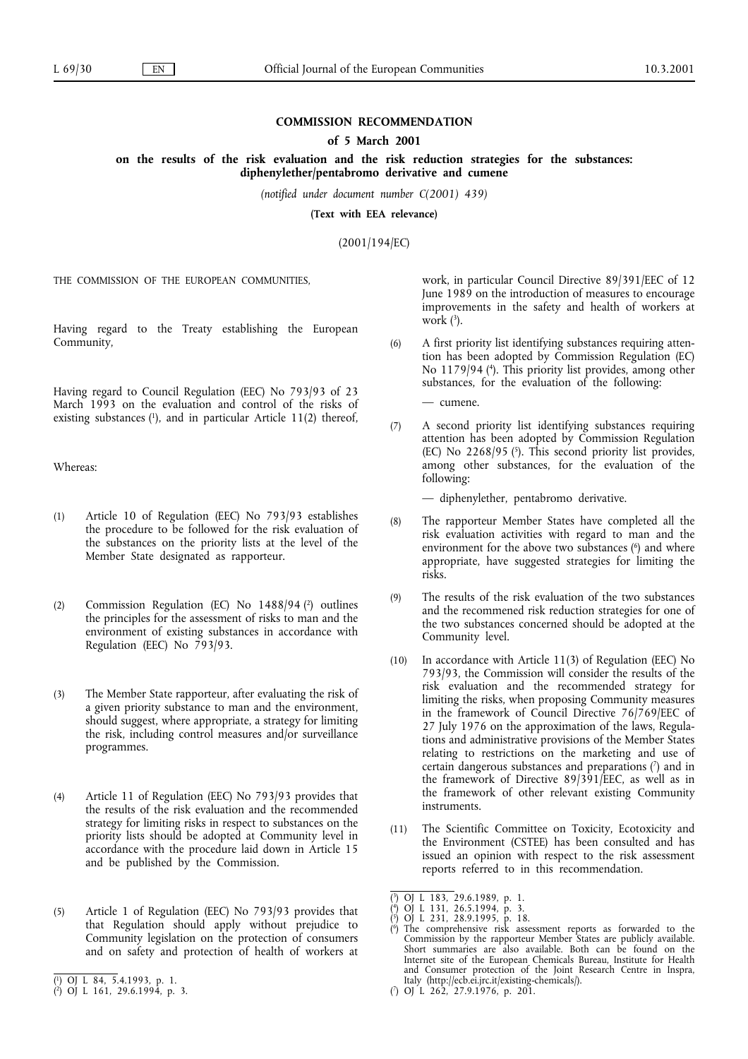# **COMMISSION RECOMMENDATION**

### **of 5 March 2001**

**on the results of the risk evaluation and the risk reduction strategies for the substances: diphenylether/pentabromo derivative and cumene**

*(notified under document number C(2001) 439)*

**(Text with EEA relevance)**

 $(2001)$ 

THE COMMISSION OF THE EUROPEAN COMMUNITIES,

 $\sum_{i=1}^{\infty}$  community, Community,

Having regard to Council Regulation (EEC) No 793/93 of 23 March 1993 on the evaluation and control of the risks of  $\alpha$  existing substances ( $\alpha$ ), and in particular Article 11(2) thereof, existing substances (1), and in particular Article 11(2) thereof,  $\frac{1}{2}$ 

Whereas:

- (1) Article 10 of Regulation (EEC) No 793/93 establishes<br>the procedure to be followed for the risk evaluation of the substances on the priority lists at the level of the Member State designated as rapporteur. Member State designated as rapporteur.
- (2) Commission Regulation (EC) No  $1488/94$  (2) outlines the principles for the assessment of risks to man and the environment of existing substances in accordance with Regulation (EEC) No 793/93.  $\mathcal{S}$
- (3) The Member State rapporteur, after evaluating the risk of a given priority substance to man and the environment, should suggest, where appropriate, a strategy for limiting the risk, including control measures and/or surveillance programmes.  $\mathbf{p}$
- Article 11 of Regulation (EEC) No 793/93 provides that the results of the risk evaluation and the recommended  $(4)$ strategy for limiting risks in respect to substances on the priority lists should be adopted at Community level in accordance with the procedure laid down in Article 15 and be published by the Commission. and be published by the Commission.
- (5) Article 1 of Regulation (EEC) No 793/93 provides that that Regulation should apply without prejudice to Community legislation on the protection of consumers and on safety and protection of health of workers at and on safety and protection of health of workers at  $\frac{1}{2}$
- ( $\overline{1}$ ) OJ L 84, 5.4.1993, p. 1.<br>( $\overline{2}$ ) OJ L 161, 29.6.1994, p. 3.

work, in particular Council Directive 89/391/EEC of 12<br>June 1989 on the introduction of measures to encourage improvements in the safety and health of workers at work  $(3)$ .  $\text{work } (*)$ .

A first priority list identifying substances requiring atten-(6) A first priority list identifying substances requiring atten-No  $1179/94$  (4). This priority list provides, among other substances, for the evaluation of the following:

- cumene.

A second priority list identifying substances requiring  $(7)$ attention has been adopted by Commission Regulation (EC) No  $2268/95$  ( $\overline{5}$ ). This second priority list provides, among other substances, for the evaluation of the following: following:

- diphenylether, pentabromo derivative.

- The rapporteur Member States have completed all the (8) The rapporteur Member States have completed all the environment for the above two substances  $(6)$  and where appropriate, have suggested strategies for limiting the risks.  $\frac{1}{11}$  is the suggested strategies for limiting the limit  $\frac{1}{2}$
- The results of the risk evaluation of the two substances (9) The results of the risk evaluation of the two substances the two substances concerned should be adopted at the Community level.
- In accordance with Article  $11(3)$  of Regulation (EEC) No (10) In accordance with Article 11(3) of Regulation (EEC) No  $793/93$ , the Commission will consider the results of the risk evaluation and the recommended strategy for limiting the risks, when proposing Community measures in the framework of Council Directive  $76/769/EEC$  of 27 July 1976 on the approximation of the laws, Regulations and administrative provisions of the Member States relating to restrictions on the marketing and use of certain dangerous substances and preparations  $(7)$  and in the framework of Directive  $89/391/EEC$ , as well as in the framework of other relevant existing Community instruments.
- $(11)$ The Scientific Committee on Toxicity, Ecotoxicity and the Environment (CSTEE) has been consulted and has issued an opinion with respect to the risk assessment reports referred to in this recommendation.  $\frac{1}{1}$   $\frac{1}{2}$   $\frac{1}{2}$   $\frac{1}{2}$   $\frac{1}{2}$   $\frac{1}{2}$   $\frac{1}{2}$   $\frac{1}{2}$   $\frac{1}{2}$   $\frac{1}{2}$   $\frac{1}{2}$   $\frac{1}{2}$   $\frac{1}{2}$   $\frac{1}{2}$   $\frac{1}{2}$   $\frac{1}{2}$   $\frac{1}{2}$   $\frac{1}{2}$   $\frac{1}{2}$   $\frac{1}{2}$   $\frac{1}{2}$   $\frac{1}{2}$

 $\overline{a}$ 2)OJ L 161, 29.6.1994, p. 3. (7)OJ L 262, 27.9.1976, p. 201.

 $\left\langle \right\rangle$  $\begin{array}{c} \n\frac{3}{2} & \text{Oj} & \text{L} & 131, 26.5.1994, \text{p. } & 3. \\
\text{5} & \text{Oj} & \text{L} & 231, 28.9.1995, \text{p. } & 13. \\
\end{array}$ 

 $\left\langle \right\rangle$  $^{5}$ ) OJ L 231, 28.9.1995, p. 13<br><sup>6</sup>) The comprehensive risk as

 $\zeta$  $\binom{6}{2}$  The comprehensive risk assessed commission by the rapporteur.  $\overline{a}$ Commission by the rapporteur Member States are publicly available. Short summaries are also available. Both can be found on the Internet site of the European Chemicals Bureau, Institute for Health and Consumer protection of the Joint Research Centre in Inspra, Italy (http://ecb.eti.jrc.it/existing-chemicals/).<br>(7) OJ L 262, 27.9.1976, p. 201.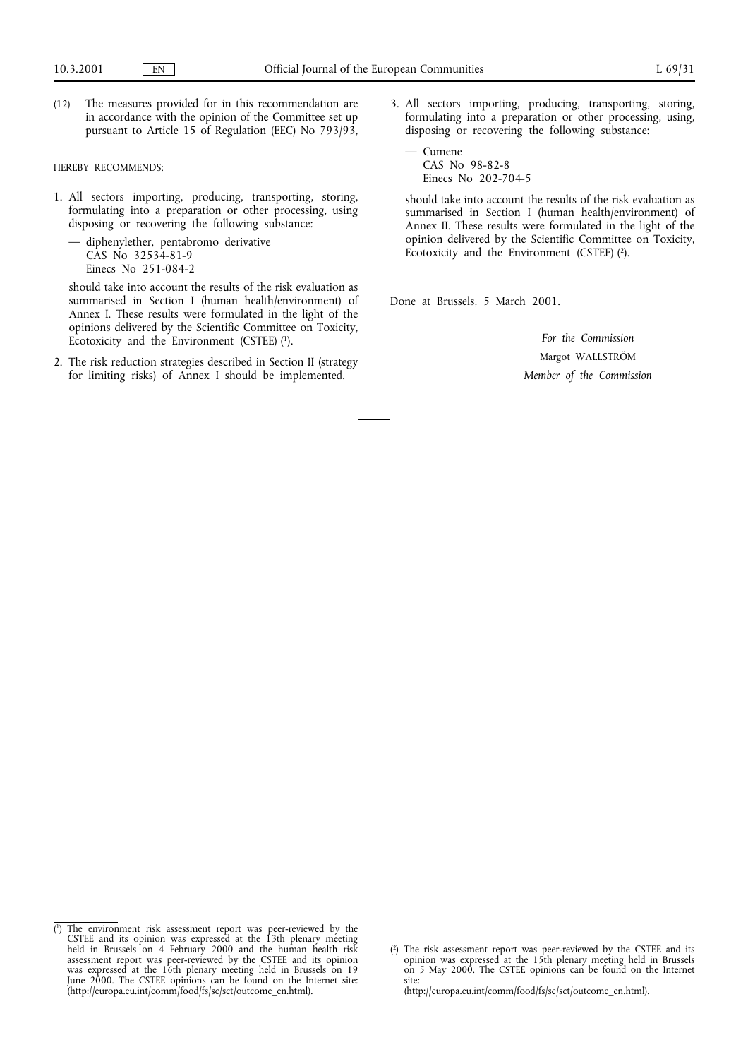(12) The measures provided for in this recommendation are pursuant to Article 15 of Regulation (EEC) No  $793/93$ ,  $p_{\text{max}}$  to  $\text{max}$  of  $\text{max}$  (EEC) of  $\text{max}$ 

- HEREBY RECOMMENDS: 1. All sectors importing, producing, transporting, storing, disposing or recovering the following substance:
	- diphenylether, pentabromo derivative  $CAS$  No  $32534-81-9$ Einecs No 251-084-2

should take into account the results of the risk evaluation as summarised in Section I (human health/environment) of Annex I. These results were formulated in the light of the opinions delivered by the Scientific Committee on Toxicity, Ecotoxicity and the Environment (CSTEE)  $(1)$ .

2. The risk reduction strategies described in Section II (strategy for limiting risks) of Annex I should be implemented. for  $\mathcal{S}$  and  $\mathcal{S}$  is the implemented.

3. All sectors importing, producing, transporting, storing, disposing or recovering the following substance:

 $-$  Cumene CAS No<br>Finecs N Einecs No  $202-7$ 

should take into account the results of the risk evaluation as summarised in Section I (human health/environment) of Annex II. These results were formulated in the light of the opinion delivered by the Scientific Committee on Toxicity,  $\Gamma$ <sub>p</sub> native delivered by the Scientific Comment (CSTEE) (2).  $\sum_{i=1}^{n}$ 

Done at Brussels, 5 March 2001.

*For the Commission* Margot WALLSTRÖM *Member of the Commission*

 $\overline{a}$ 1) CSTEE and its opinion was expressed at the 13th plenary meeting<br>held in Brussels on 4 February 2000 and the human health risk held in Brussels on 4 February 2000 and the human health risk<br>assessment report was peer-reviewed by the CSTEE and its opinion assessment report was peer-reviewed by the CSTEE and its opinion was expressed at the 16th plenary meeting held in Brussels on 19 June 2000. The CSTEE opinions can be found on the Internet site: (http://europa.eu.int/comm/food/fs/sc/sct/outcome\_en.html). (http://europa.eu/food/fs/sc/sche/fs/scheen.html).

 $\overline{a}$ opinion was expressed at the 15th plenary meeting held in Brussels<br>on 5 May 2000. The CSTEE opinions can be found on the Internet on 5 May 2000. The CSTEE opinions can be found on the Internet<br>site: on 5 May 2000. The CSTEE opinions can be found on the internet.<br>Site:<br>(http://europa.eu.int/comm/food/fs/sc/sct/outcome\_en.html).

 $(htt)$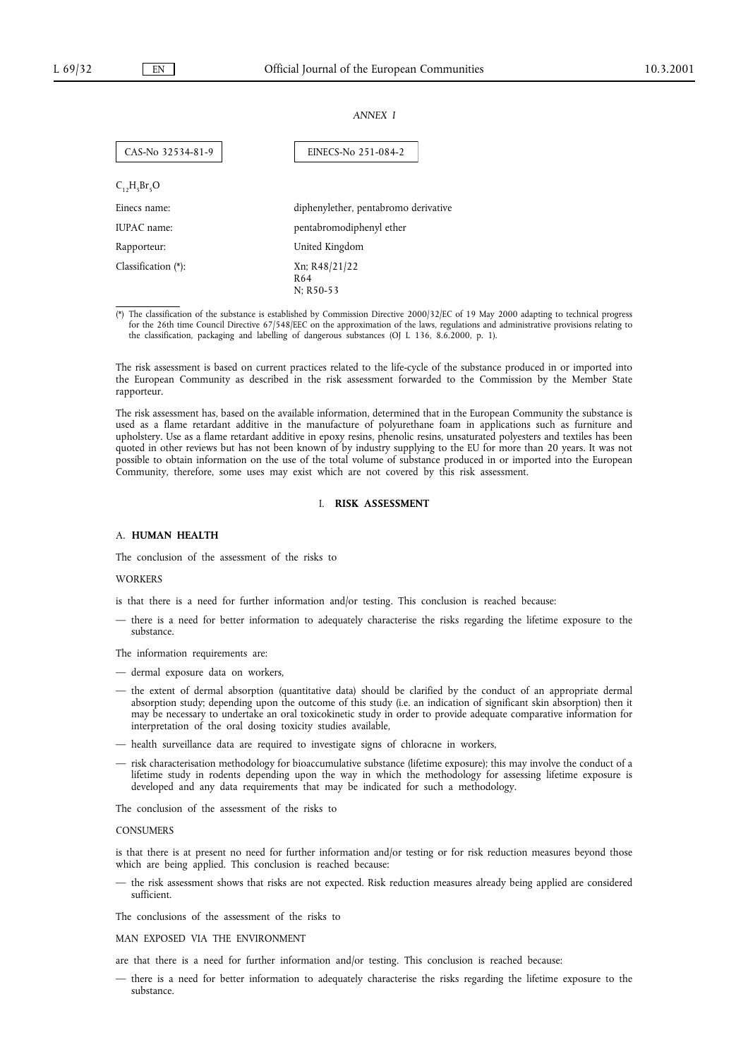### *ANNEX I*

| CAS-No 32534-81-9      | EINECS-No 251-084-2                  |
|------------------------|--------------------------------------|
| $C_1, H_5Br_5O$        |                                      |
| Einecs name:           | diphenylether, pentabromo derivative |
| IUPAC name:            | pentabromodiphenyl ether             |
| Rapporteur:            | United Kingdom                       |
| Classification $(*)$ : | Xn; R48/21/22<br>R64<br>$N: R50-53$  |

(\*) The classification of the substance is established by Commission Directive 2000/32/EC of 19 May 2000 adapting to technical progress for the 26th time Council Directive 67/548/EEC on the approximation of the laws, regulations and administrative provisions relating to for the 26th time Council Directive 67/548/EEC on the approximation of the laws, regulations and administrative provisions relations relations packaging and labelling of dangerous substances (OJ L 136, 8.6.2000, p. 1).  $\frac{1}{\sqrt{1-\frac{1}{\sqrt{2}}}}$  of dangerous substances (OJ L 136, 8.6.2000, p. 1).

The risk assessment is based on current practices related to the life-cycle of the substance produced in or imported into the European Community as described in the risk assessment forwarded to the Commission by the Member  $t_{\text{H}}$  European Commission by the risk assessment for  $\mathcal{L}_{\text{H}}$  as  $\mathcal{L}_{\text{H}}$  as the Member State State State State State State State State State State State State State State State State State State State State

The risk assessment has, based on the available information, determined that in the European Community the substance is used as a flame retardant additive in the manufacture of polyurethane foam in applications such as furniture and upholstery. Use as a flame retardant additive in epoxy resins, phenolic resins, unsaturated polyesters and textiles has been quoted in other reviews but has not been known of by industry supplying to the EU for more than 20 years. It was not possible to obtain information on the use of the total volume of substance produced in or imported into the European<br>Community, therefore, some uses may exist which are not covered by this risk assessment Community, therefore, some uses may exist which are not covered by this risk assessment. Community, therefore, some uses may exist which are not covered by this risk assessment.

# I. **RISK ASSESSMENT**

A. **HUMAN HEALTH**<br>The conclusion of the assessment of the risks to

# **WORKERS**

is that there is a need for further information and/or testing. This conclusion is reached because:

- there is a need for better information to adequately characterise the risks regarding the lifetime exposure to the substance. substance.

The information requirements are:

- dermal exposure data on workers,
- the extent of dermal absorption (quantitative data) should be clarified by the conduct of an appropriate dermal absorption study; depending upon the outcome of this study (i.e. an indication of significant skin absorption) then it may be necessary to undertake an oral toxicokinetic study in order to provide adequate comparative information for interpretation of the oral dosing toxicity studies available,
- health surveillance data are required to investigate signs of chloracne in workers,
- risk characterisation methodology for bioaccumulative substance (lifetime exposure); this may involve the conduct of a lifetime study in rodents depending upon the way in which the methodology for assessing lifetime exposure is developed and any data requirements that may be indicated for such a methodology.

The conclusion of the assessment of the risks to

### **CONSUMERS**

is that there is at present no need for further information and/or testing or for risk reduction measures beyond those which are being applied. This conclusion is reached because:

— the risk assessment shows that risks are not expected. Risk reduction measures already being applied are considered<br>sufficient — the risk assessment shows that risks are not expected. Risk reduction measures already being applied are considered

The conclusions of the assessment of the risks to

### MAN EXPOSED VIA THE ENVIRONMENT

are that there is a need for further information and/or testing. This conclusion is reached because:

are that there is a need for better information to adequately characterise the risks regarding the lifetime substance.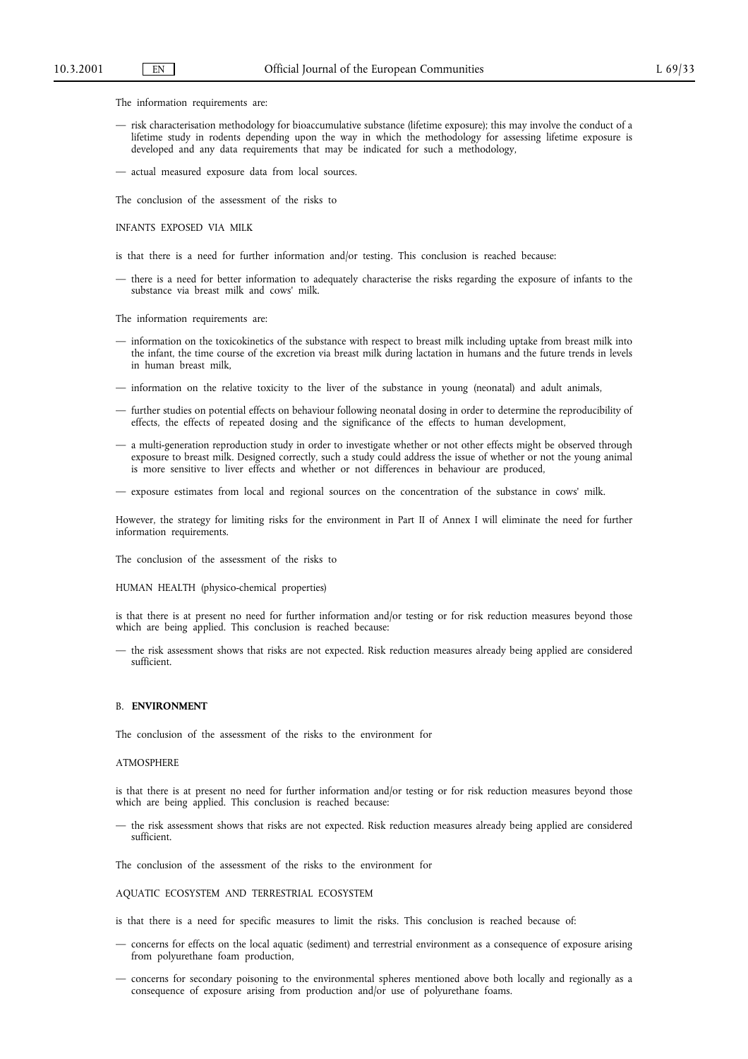- The information requirements are:<br>
 risk characterisation methodology for bioaccumulative substance (lifetime exposure); this may involve the conduct of a lifetime study in rodents depending upon the way in which the methodology for assessing lifetime exposure is developed and any data requirements that may be indicated for such a methodology,
- actual measured exposure data from local sources.

The conclusion of the assessment of the risks to

INFANTS EXPOSED VIA MILK

is that there is a need for further information and/or testing. This conclusion is reached because:

is there is a need for better information to adequately characterise the risks regarding the exposure of infants to the — there is a need for better information to adequately characterise the risks regarding the exposure of infants to the substance via breast milk and cows' milk.

- The information requirements are:<br>— information on the toxicokinetics of the substance with respect to breast milk including uptake from breast milk into the infant, the time course of the excretion via breast milk during lactation in humans and the future trends in levels in human breast milk, the infant, the time course of the excretion via breast milk during lactation in military lactation in levels in levels.
- information on the relative toxicity to the liver of the substance in young (neonatal) and adult animals,
- further studies on potential effects on behaviour following neonatal dosing in order to determine the reproducibility of effects, the effects of repeated dosing and the significance of the effects to human development,
- a multi-generation reproduction study in order to investigate whether or not other effects might be observed through exposure to breast milk. Designed correctly, such a study could address the issue of whether or not the young animal is more sensitive to liver effects and whether or not differences in behaviour are produced,

exposure estimates from local and regional sources on the concentration of the substance in — exposure estimates from local and regional sources on the concentration of the substance in cows' milk.

However, the strategy for limiting risks for the environment in Part II of Annex I will eliminate the need for further information requirements.

The conclusion of the assessment of the risks to

HUMAN HEALTH (physico-chemical properties)

is that there is at present no need for further information and/or testing or for risk reduction measures beyond those which are being applied. This conclusion is reached because:

 $\frac{1}{2}$  the risk assessment shows that risks are not expected. Risk sufficient.  $\frac{1}{1}$  risks are not expected. Risk reduction measures already being a point of  $\frac{1}{2}$  and  $\frac{1}{2}$  and  $\frac{1}{2}$  are considered.

B. **ENVIRONMENT**<br>The conclusion of the assessment of the risks to the environment for The conclusion of the assessment of the risks to the environment for

ATMOSPHERE<br>is that there is at present no need for further information and/or testing or for risk reduction measures beyond those which are being applied. This conclusion is reached because:

- the risk assessment shows that risks are not expected. Risk reduction measures already being applied are considered — the risk assessment shows that risks are not expected. Risk reduction measures already being applied are considered

The conclusion of the assessment of the risks to the environment for

AQUATIC ECOSYSTEM AND TERRESTRIAL ECOSYSTEM

is that there is a need for specific measures to limit the risks. This conclusion is reached because of:

- concerns for effects on the local aquatic (sediment) and terrestrial environment as a consequence of exposure arising from polyurethane foam production,
- concerns for secondary poisoning to the environmental spheres mentioned above both locally and regionally as a consequence of exposure arising from production and/or use of polyurethane foams. consequence of exposure arising from production and/or use of polyurethane foams.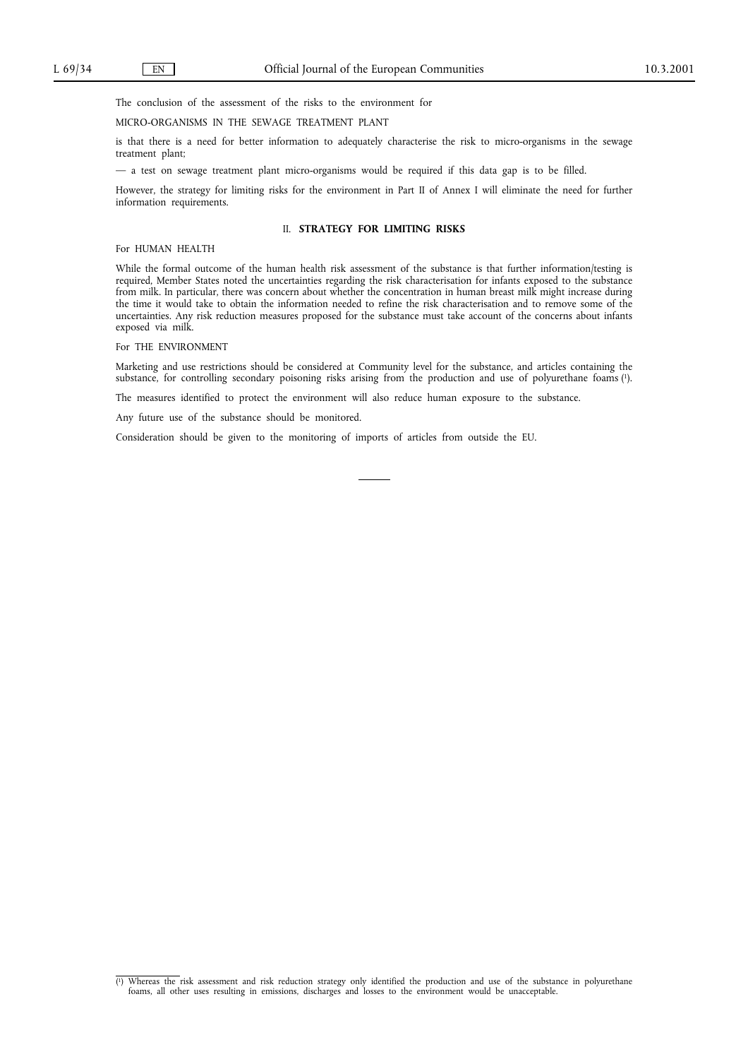The conclusion of the assessment of the risks to the environment for MICRO-ORGANISMS IN THE SEWAGE TREATMENT PLANT

is that there is a need for better information to adequately characterise the risk to micro-organisms in the sewage  $\frac{1}{2}$  that there is a new generation to add  $\frac{1}{2}$  characterise the sewage the set of  $\frac{1}{2}$  characterise the sewage the sewage the sewage the sewage the sewage the sewage the sewage the sewage the sewage the se

 $-$  a test on se

However, the strategy for limiting risks for the environment in Part II of Annex I will eliminate the need for further information requirements. information requirements.

# II. **STRATEGY FOR LIMITING RISKS**

For HUMAN HEALTH<br>While the formal outcome of the human health risk assessment of the substance is that further information/testing is required, Member States noted the uncertainties regarding the risk characterisation for infants exposed to the substance from milk. In particular, there was concern about whether the concentration in human breast milk might increase during the time it would take to obtain the information needed to refine the risk characterisation and to remove some of the the time information information in the information of the risk characterisation and to remove the risk characterisation information of the concerns about infants uncertainties. Any risk reduction measures proposed for the substance must take account of the concerns about infants exposed via milk.

Marketing and use restrictions should be considered at Community level for the substance, and articles containing the substance, for controlling secondary poisoning risks arising from the production and use of polyurethane foams (1).

The measures identified to protect the environment will also reduce human exposure to the substance.

Any future use of the substance should be monitored.

Consideration should be given to the monitoring of imports of articles from outside the EU.  $\mathcal{C}$  consideration showled be given to the monitoring of  $\mathcal{C}$  important  $\mathcal{C}$ 

 $\overline{a}$ 1)Whereas the risk assessment and risk reduction strategy only identified the production and use of the substance in polyurethane foams, all other uses resulting in emissions, discharges and losses to the environment would be unacceptable.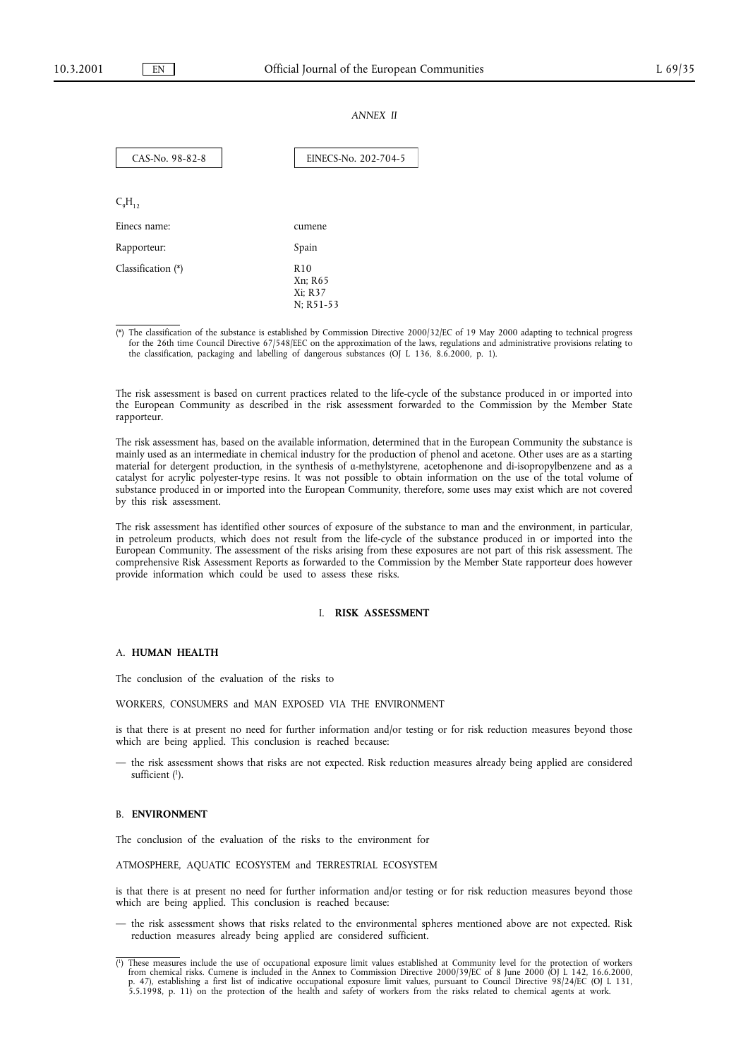### *ANNEX II*

| CAS-No. 98-82-8      | EINECS-No. 202-704-5                               |
|----------------------|----------------------------------------------------|
|                      |                                                    |
| $C_9H_{12}$          |                                                    |
| Einecs name:         | cumene                                             |
| Rapporteur:          | Spain                                              |
| Classification $(*)$ | R <sub>10</sub><br>Xn; R65<br>Xi: R37<br>N; R51-53 |

(\*) The classification of the substance is established by Commission Directive 2000/32/EC of 19 May 2000 adapting to technical progress for the 26th time Council Directive 67/548/EEC on the approximation of the laws, regulations and administrative provisions relating to the classification, packaging and labelling of dangerous substances (OJ L 136, 8.6.2000, p. 1).  $t_{\text{max}}$  constants of parameters  $\frac{1}{2}$  and labelling of dangerous substances ( $\frac{1}{2}$ ).

The risk assessment forwarded to the Commission by the Member State<br>the European Community as described in the risk assessment forwarded to the Commission by the Member State the European Community as described in the risk assessment forwarded to the Commission by the Member State<br>rapporteur. rapporteur.<br>The risk assessment has, based on the available information, determined that in the European Community the substance is

mainly used as an intermediate in chemical industry for the production of phenol and acetone. Other uses are as a starting material for detergent production, in the synthesis of a-methylstyrene, acetophenone and di-isopropylbenzene and as a catalyst for acrylic polyester-type resins. It was not possible to obtain information on the use of the total volume of substance produced in or imported into the European Community, therefore, some uses may exist which are not covered by this risk assessment.

The risk assessment has identified other sources of exposure of the substance to man and the environment, in particular, in petroleum products, which does not result from the life-cycle of the substance produced in or imported into the European Community. The assessment of the risks arising from these exposures are not part of this risk assessment. The comprehensive Risk Assessment Reports as forwarded to the Commission by the Member State rapporteur does however provide information which could be used to assess these risks. provide information which could be used to assess these risks.

### I. **RISK ASSESSMENT**

A. **HUMAN HEALTH**<br>The conclusion of the evaluation of the risks to

WORKERS, CONSUMERS and MAN EXPOSED VIA THE ENVIRONMENT

is that there is at present no need for further information and/or testing or for risk reduction measures beyond those which are being applied. This conclusion is reached because:

- the risk assessment shows that risks are not expected. Risk reduction measures already being applied are considered sufficient  $\left\langle \cdot \right\rangle$ . sufficient (1).

B. **ENVIRONMENT**<br>The conclusion of the evaluation of the risks to the environment for

ATMOSPHERE, AQUATIC ECOSYSTEM and TERRESTRIAL ECOSYSTEM

is that there is at present no need for further information and/or testing or for risk reduction measures beyond those which are being applied. This conclusion is reached because:

- the risk assessment shows that risks related to the environmental spheres mentioned above are not expected. Risk reduction measures already being applied are considered sufficient.

 $\frac{d}{dt}$  reduction measures already being applied are considered sufficient. ( from chemical risks. Cumene is included in the Annex to Commission Directive 2000/39/EC of 8 June 2000 (OJ L 142, 16.6.2000, p. 47), establishing a first list of indicative occupational exposure limit values, pursuant to